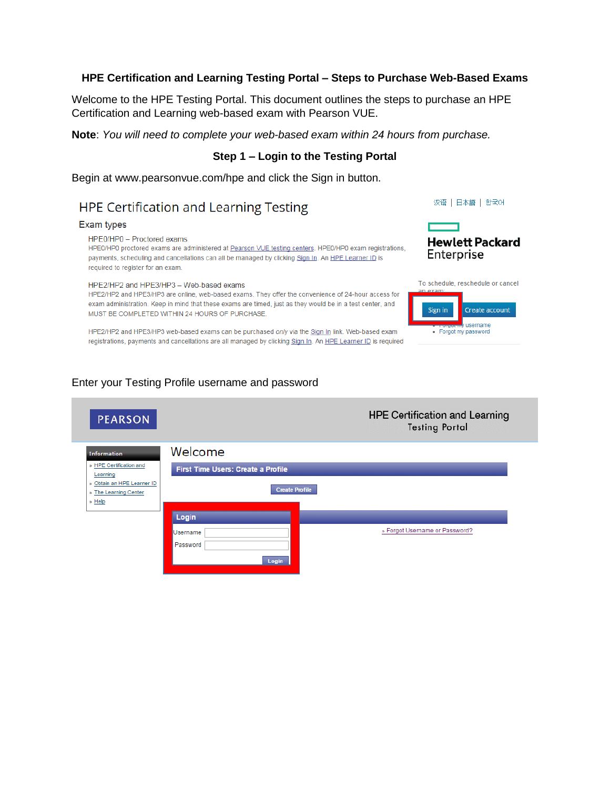#### **HPE Certification and Learning Testing Portal – Steps to Purchase Web-Based Exams**

Welcome to the HPE Testing Portal. This document outlines the steps to purchase an HPE Certification and Learning web-based exam with Pearson VUE.

**Note**: *You will need to complete your web-based exam within 24 hours from purchase.*

#### **Step 1 – Login to the Testing Portal**

Begin at www.pearsonvue.com/hpe and click the Sign in button.

# **HPE Certification and Learning Testing**

#### Exam types

#### HPE0/HP0 - Proctored exams

HPE0/HP0 proctored exams are administered at Pearson VUE testing centers. HPE0/HP0 exam registrations, payments, scheduling and cancellations can all be managed by clicking Sign In. An HPE Learner ID is required to register for an exam.

#### HPE2/HP2 and HPE3/HP3 - Web-based exams

HPE2/HP2 and HPE3/HP3 are online, web-based exams. They offer the convenience of 24-hour access for exam administration. Keep in mind that these exams are timed, just as they would be in a test center, and MUST BE COMPLETED WITHIN 24 HOURS OF PURCHASE.

HPE2/HP2 and HPE3/HP3 web-based exams can be purchased only via the Sign In link. Web-based exam registrations, payments and cancellations are all managed by clicking Sign In. An HPE Learner ID is required

#### 汉语 | 日本語 | 한국어



| an exam:       | To schedule, reschedule or cancel |
|----------------|-----------------------------------|
| <b>Sign in</b> | Create account                    |
|                | username<br>• Forgot my password  |

### Enter your Testing Profile username and password

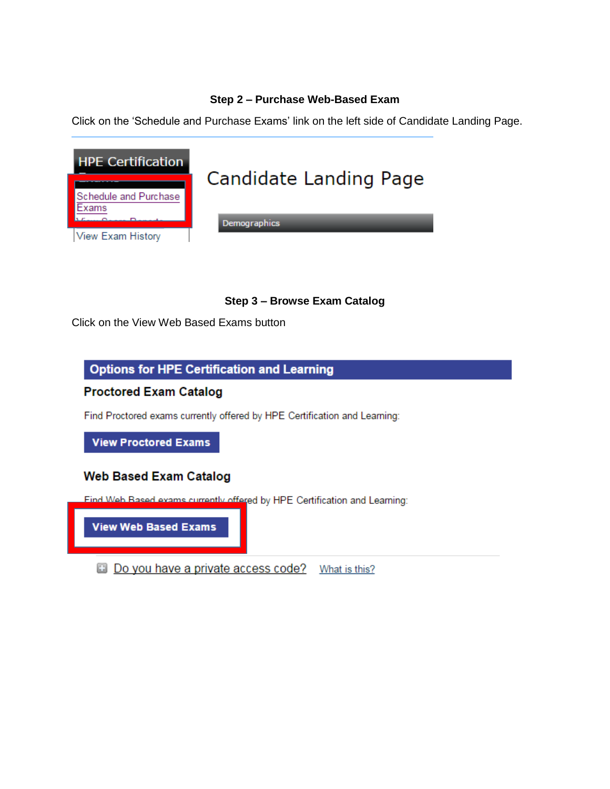#### **Step 2 – Purchase Web-Based Exam**

Click on the 'Schedule and Purchase Exams' link on the left side of Candidate Landing Page.



### **Step 3 – Browse Exam Catalog**

Click on the View Web Based Exams button

## **Options for HPE Certification and Learning**

**Proctored Exam Catalog** 

Find Proctored exams currently offered by HPE Certification and Learning:

**View Proctored Exams** 

### **Web Based Exam Catalog**

Find Web Based exams currently offered by HPE Certification and Learning:

**View Web Based Exams** 

**Do you have a private access code?** What is this?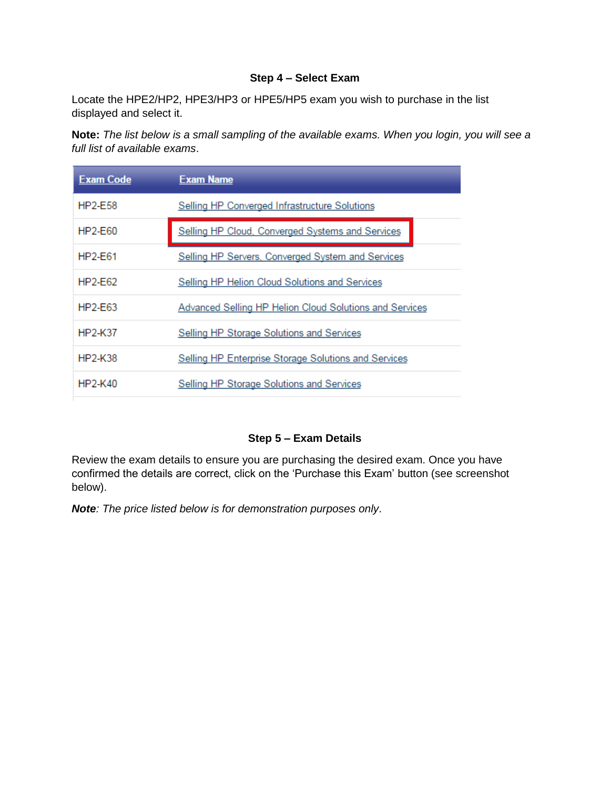#### **Step 4 – Select Exam**

Locate the HPE2/HP2, HPE3/HP3 or HPE5/HP5 exam you wish to purchase in the list displayed and select it.

**Note:** *The list below is a small sampling of the available exams. When you login, you will see a full list of available exams*.

| <b>Exam Code</b> | <b>Exam Name</b>                                        |
|------------------|---------------------------------------------------------|
| HP2-E58          | Selling HP Converged Infrastructure Solutions           |
| HP2-F60          | Selling HP Cloud, Converged Systems and Services        |
| HP2-F61          | Selling HP Servers, Converged System and Services       |
| HP2-E62          | Selling HP Helion Cloud Solutions and Services          |
| $HP2-E63$        | Advanced Selling HP Helion Cloud Solutions and Services |
| HP2-K37          | <b>Selling HP Storage Solutions and Services</b>        |
| HP2-K38          | Selling HP Enterprise Storage Solutions and Services    |
| HP2-K40          | Selling HP Storage Solutions and Services               |

### **Step 5 – Exam Details**

Review the exam details to ensure you are purchasing the desired exam. Once you have confirmed the details are correct, click on the 'Purchase this Exam' button (see screenshot below).

*Note: The price listed below is for demonstration purposes only*.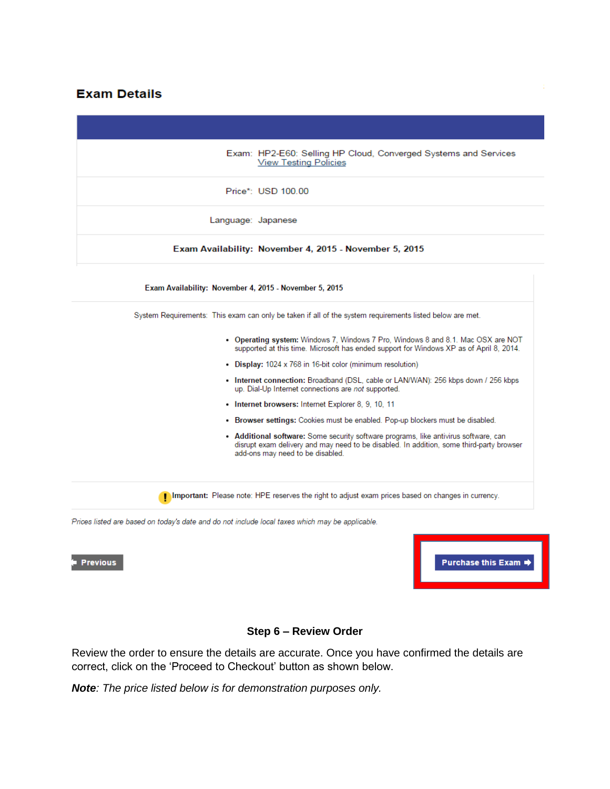## **Exam Details**

|                 | Exam: HP2-E60: Selling HP Cloud, Converged Systems and Services<br><b>View Testing Policies</b>                                                                                                                      |
|-----------------|----------------------------------------------------------------------------------------------------------------------------------------------------------------------------------------------------------------------|
|                 | Price*: USD 100.00                                                                                                                                                                                                   |
|                 | Language: Japanese                                                                                                                                                                                                   |
|                 | Exam Availability: November 4, 2015 - November 5, 2015                                                                                                                                                               |
|                 | Exam Availability: November 4, 2015 - November 5, 2015                                                                                                                                                               |
|                 | System Requirements: This exam can only be taken if all of the system requirements listed below are met.                                                                                                             |
|                 | • Operating system: Windows 7, Windows 7 Pro, Windows 8 and 8.1. Mac OSX are NOT<br>supported at this time. Microsoft has ended support for Windows XP as of April 8, 2014.                                          |
|                 | • Display: 1024 x 768 in 16-bit color (minimum resolution)                                                                                                                                                           |
|                 | • Internet connection: Broadband (DSL, cable or LAN/WAN): 256 kbps down / 256 kbps<br>up. Dial-Up Internet connections are not supported.                                                                            |
|                 | • Internet browsers: Internet Explorer 8, 9, 10, 11                                                                                                                                                                  |
|                 | • Browser settings: Cookies must be enabled. Pop-up blockers must be disabled.                                                                                                                                       |
|                 | • Additional software: Some security software programs, like antivirus software, can<br>disrupt exam delivery and may need to be disabled. In addition, some third-party browser<br>add-ons may need to be disabled. |
|                 | Important: Please note: HPE reserves the right to adjust exam prices based on changes in currency.                                                                                                                   |
|                 | Prices listed are based on today's date and do not include local taxes which may be applicable.                                                                                                                      |
|                 |                                                                                                                                                                                                                      |
| <b>Previous</b> | Purchase this Exam                                                                                                                                                                                                   |

## **Step 6 – Review Order**

Review the order to ensure the details are accurate. Once you have confirmed the details are correct, click on the 'Proceed to Checkout' button as shown below.

*Note: The price listed below is for demonstration purposes only.*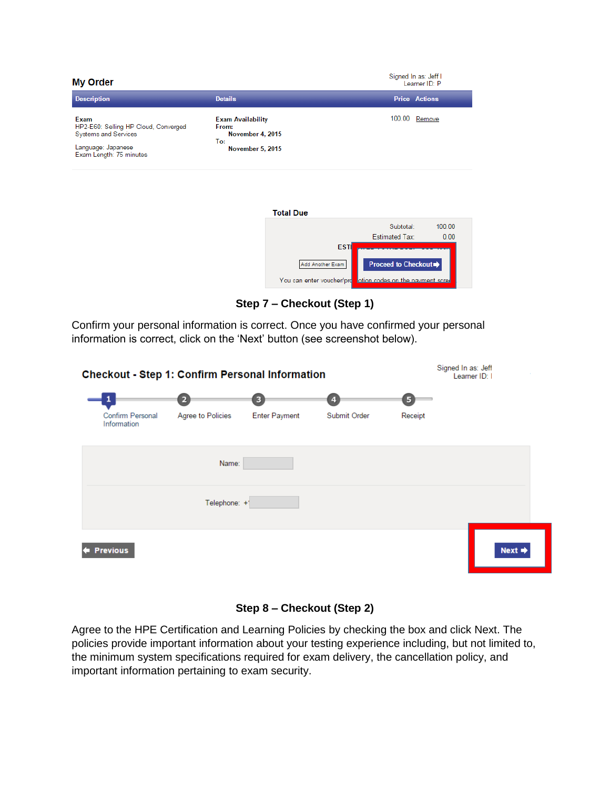

| <b>Total Due</b>          |                                  |        |
|---------------------------|----------------------------------|--------|
|                           | Subtotal:                        | 100.00 |
|                           | <b>Estimated Tax:</b>            | 0.00   |
| <b>ESTI</b>               |                                  |        |
| Add Another Exam          | <b>Proceed to Checkout →</b>     |        |
| You can enter voucher/pro | otion codes on the payment scree |        |

**Step 7 – Checkout (Step 1)**

Confirm your personal information is correct. Once you have confirmed your personal information is correct, click on the 'Next' button (see screenshot below).

| <b>Checkout - Step 1: Confirm Personal Information</b> |                   |                      |                | Signed In as: Jeff<br>Learner ID: I |                    |  |
|--------------------------------------------------------|-------------------|----------------------|----------------|-------------------------------------|--------------------|--|
|                                                        | $\overline{2}$    | $\mathbf{3}$         | $\overline{4}$ | 5                                   |                    |  |
| Confirm Personal<br>Information                        | Agree to Policies | <b>Enter Payment</b> | Submit Order   | Receipt                             |                    |  |
|                                                        | Name:             |                      |                |                                     |                    |  |
|                                                        | Telephone: +1     |                      |                |                                     |                    |  |
| <b>Previous</b>                                        |                   |                      |                |                                     | Next $\Rightarrow$ |  |

## **Step 8 – Checkout (Step 2)**

Agree to the HPE Certification and Learning Policies by checking the box and click Next. The policies provide important information about your testing experience including, but not limited to, the minimum system specifications required for exam delivery, the cancellation policy, and important information pertaining to exam security.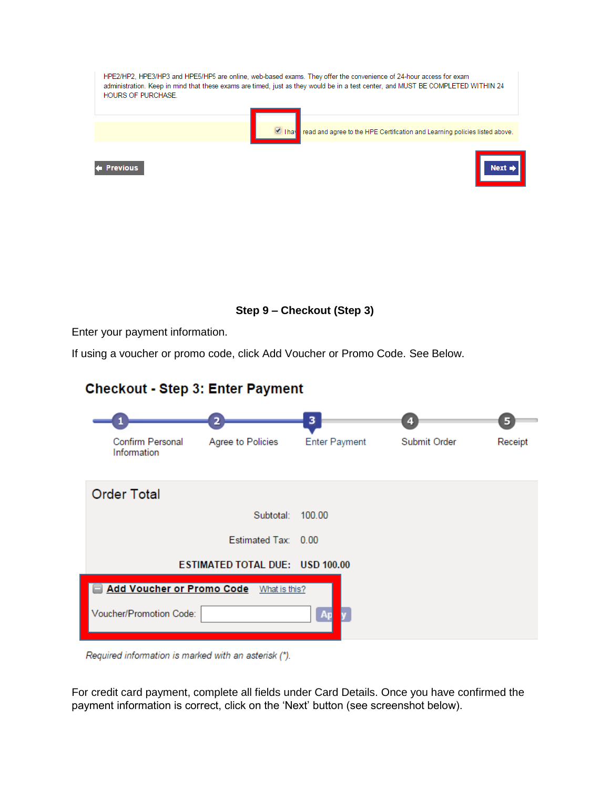| <b>HOURS OF PURCHASE.</b> | HPE2/HP2, HPE3/HP3 and HPE5/HP5 are online, web-based exams. They offer the convenience of 24-hour access for exam<br>administration. Keep in mind that these exams are timed, just as they would be in a test center, and MUST BE COMPLETED WITHIN 24 |
|---------------------------|--------------------------------------------------------------------------------------------------------------------------------------------------------------------------------------------------------------------------------------------------------|
|                           | $\Box$ Thay<br>read and agree to the HPE Certification and Learning policies listed above.                                                                                                                                                             |
| <b>Previous</b>           | $Next =$                                                                                                                                                                                                                                               |
|                           |                                                                                                                                                                                                                                                        |

**Step 9 – Checkout (Step 3)**

Enter your payment information.

If using a voucher or promo code, click Add Voucher or Promo Code. See Below.

# 3  $\overline{a}$  $\overline{4}$ **Enter Payment** Submit Order Confirm Personal Agree to Policies Receipt Information **Order Total** Subtotal: 100.00 Estimated Tax: 0.00 ESTIMATED TOTAL DUE: USD 100.00 Add Voucher or Promo Code What is this? Voucher/Promotion Code:

# **Checkout - Step 3: Enter Payment**

Required information is marked with an asterisk (\*).

For credit card payment, complete all fields under Card Details. Once you have confirmed the payment information is correct, click on the 'Next' button (see screenshot below).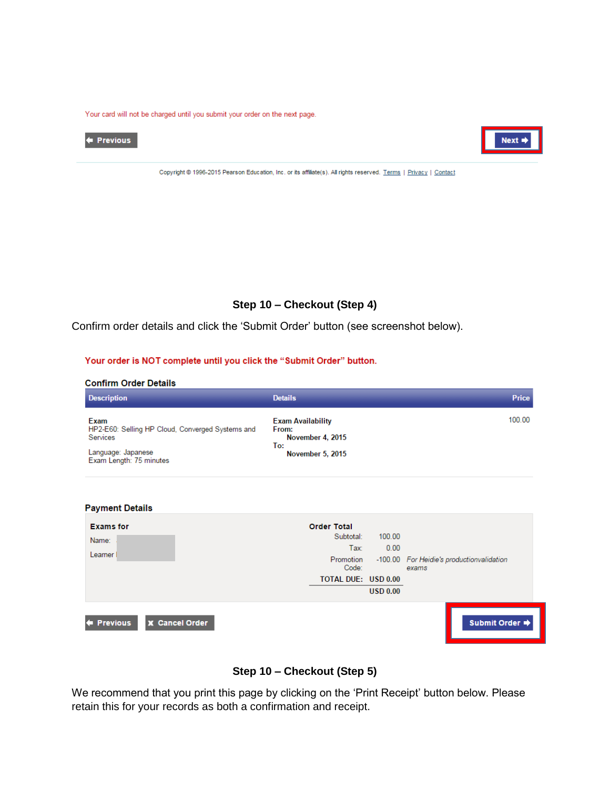Your card will not be charged until you submit your order on the next page.





Copyright @ 1996-2015 Pearson Education, Inc. or its affiliate(s). All rights reserved. Terms | Privacy | Contact

### **Step 10 – Checkout (Step 4)**

Confirm order details and click the 'Submit Order' button (see screenshot below).

#### Your order is NOT complete until you click the "Submit Order" button.

#### **Confirm Order Details**

| <b>Description</b>                                                   | <b>Details</b>                                               | Price  |
|----------------------------------------------------------------------|--------------------------------------------------------------|--------|
| Exam<br>HP2-E60: Selling HP Cloud, Converged Systems and<br>Services | <b>Exam Availability</b><br>From:<br>November 4, 2015<br>To: | 100.00 |
| Language: Japanese<br>Exam Length: 75 minutes                        | <b>November 5, 2015</b>                                      |        |

| <b>Payment Details</b>               |                                                               |                 |                                                    |
|--------------------------------------|---------------------------------------------------------------|-----------------|----------------------------------------------------|
| <b>Exams for</b><br>Name:<br>Learner | <b>Order Total</b><br>Subtotal:<br>Tax:<br>Promotion<br>Code: | 100.00<br>0.00  | -100.00 For Heidie's productionvalidation<br>exams |
|                                      | <b>TOTAL DUE: USD 0.00</b>                                    | <b>USD 0.00</b> |                                                    |
| <b>X</b> Cancel Order<br>← Previous  |                                                               |                 | Submit Order →                                     |

### **Step 10 – Checkout (Step 5)**

We recommend that you print this page by clicking on the 'Print Receipt' button below. Please retain this for your records as both a confirmation and receipt.